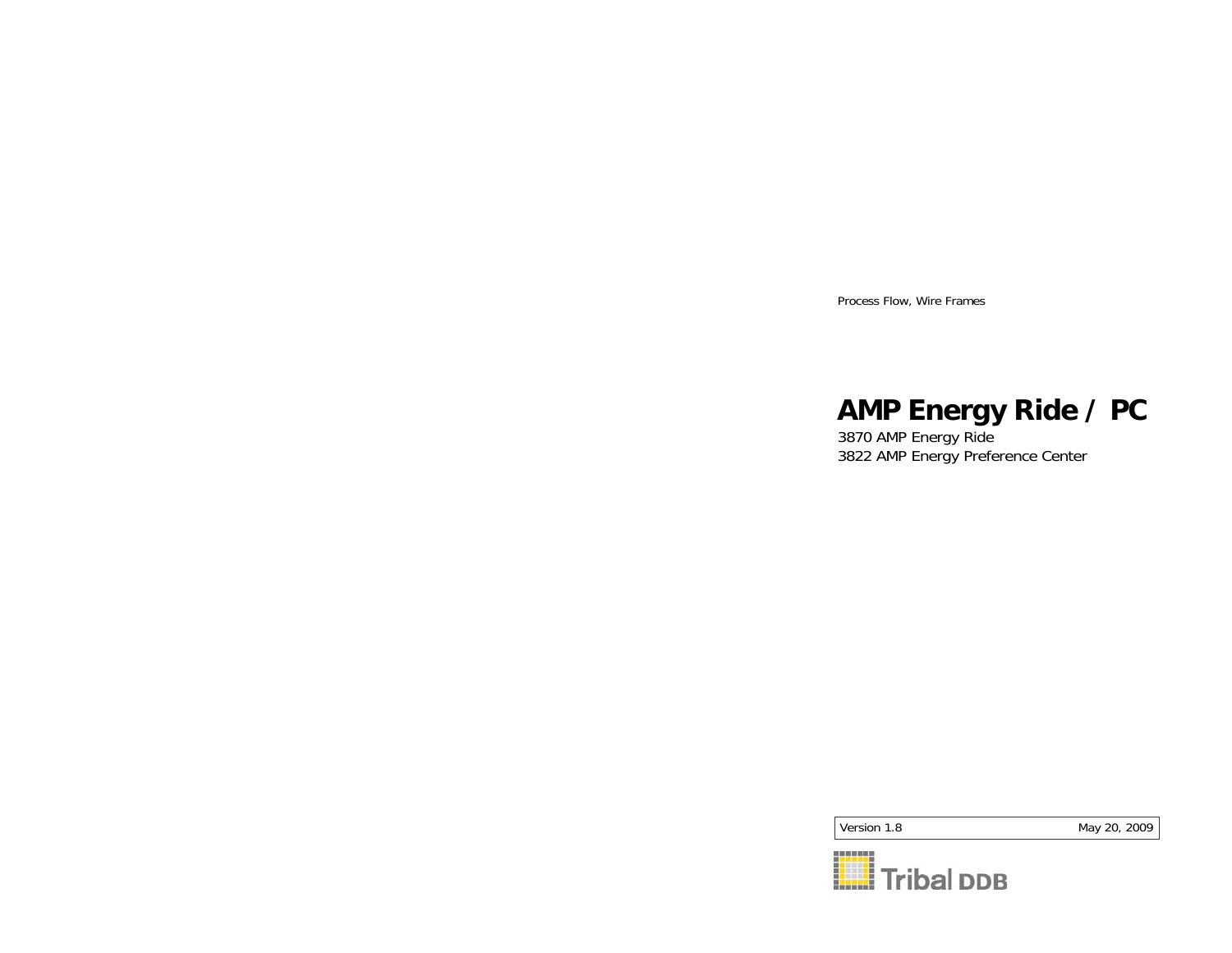Process Flow, Wire Frames

## **AMP Energy Ride / PC**

3870 AMP Energy Ride 3822 AMP Energy Preference Center

Version 1.8

May 20, 2009

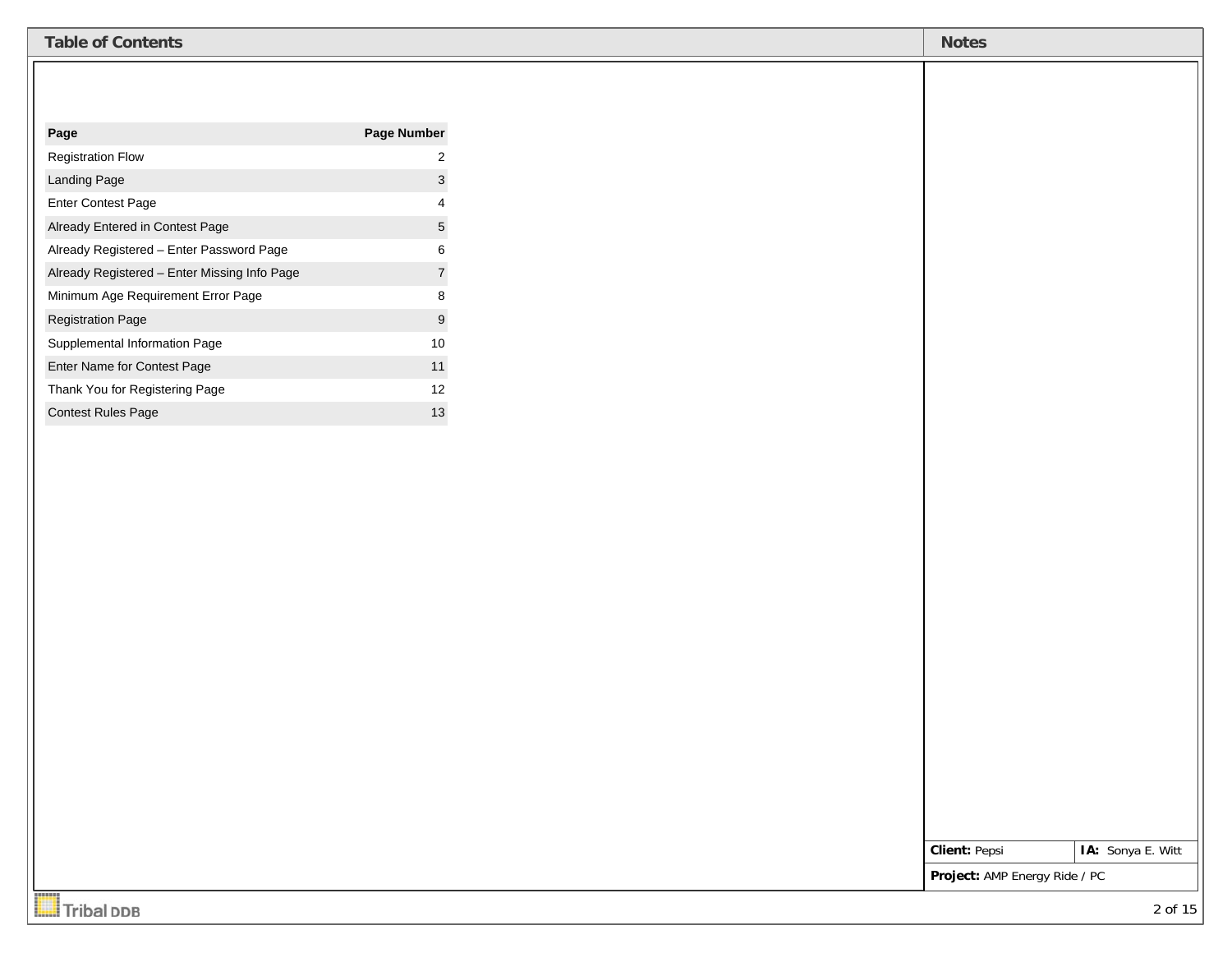| <b>Table of Contents</b>                     |                           | <b>Notes</b>                  |                   |
|----------------------------------------------|---------------------------|-------------------------------|-------------------|
|                                              |                           |                               |                   |
|                                              |                           |                               |                   |
| Page                                         | Page Number               |                               |                   |
| <b>Registration Flow</b>                     | $\sqrt{2}$                |                               |                   |
| Landing Page                                 | $\ensuremath{\mathsf{3}}$ |                               |                   |
| Enter Contest Page                           | $\overline{4}$            |                               |                   |
| Already Entered in Contest Page              | $\mathbf 5$               |                               |                   |
| Already Registered - Enter Password Page     | $\,6$                     |                               |                   |
| Already Registered - Enter Missing Info Page | $\overline{7}$            |                               |                   |
| Minimum Age Requirement Error Page           | $\bf 8$                   |                               |                   |
| <b>Registration Page</b>                     | $\overline{9}$            |                               |                   |
| Supplemental Information Page                | $10\,$                    |                               |                   |
| Enter Name for Contest Page                  | $11$                      |                               |                   |
| Thank You for Registering Page               | 12                        |                               |                   |
| Contest Rules Page                           | 13                        |                               |                   |
|                                              |                           |                               |                   |
|                                              |                           |                               |                   |
|                                              |                           |                               |                   |
|                                              |                           |                               |                   |
|                                              |                           |                               |                   |
|                                              |                           |                               |                   |
|                                              |                           |                               |                   |
|                                              |                           |                               |                   |
|                                              |                           |                               |                   |
|                                              |                           |                               |                   |
|                                              |                           |                               |                   |
|                                              |                           |                               |                   |
|                                              |                           |                               |                   |
|                                              |                           |                               |                   |
|                                              |                           |                               |                   |
|                                              |                           |                               |                   |
|                                              |                           |                               |                   |
|                                              |                           |                               |                   |
|                                              |                           | <b>Client: Pepsi</b>          | IA: Sonya E. Witt |
| <b>STATISTIC</b>                             |                           | Project: AMP Energy Ride / PC |                   |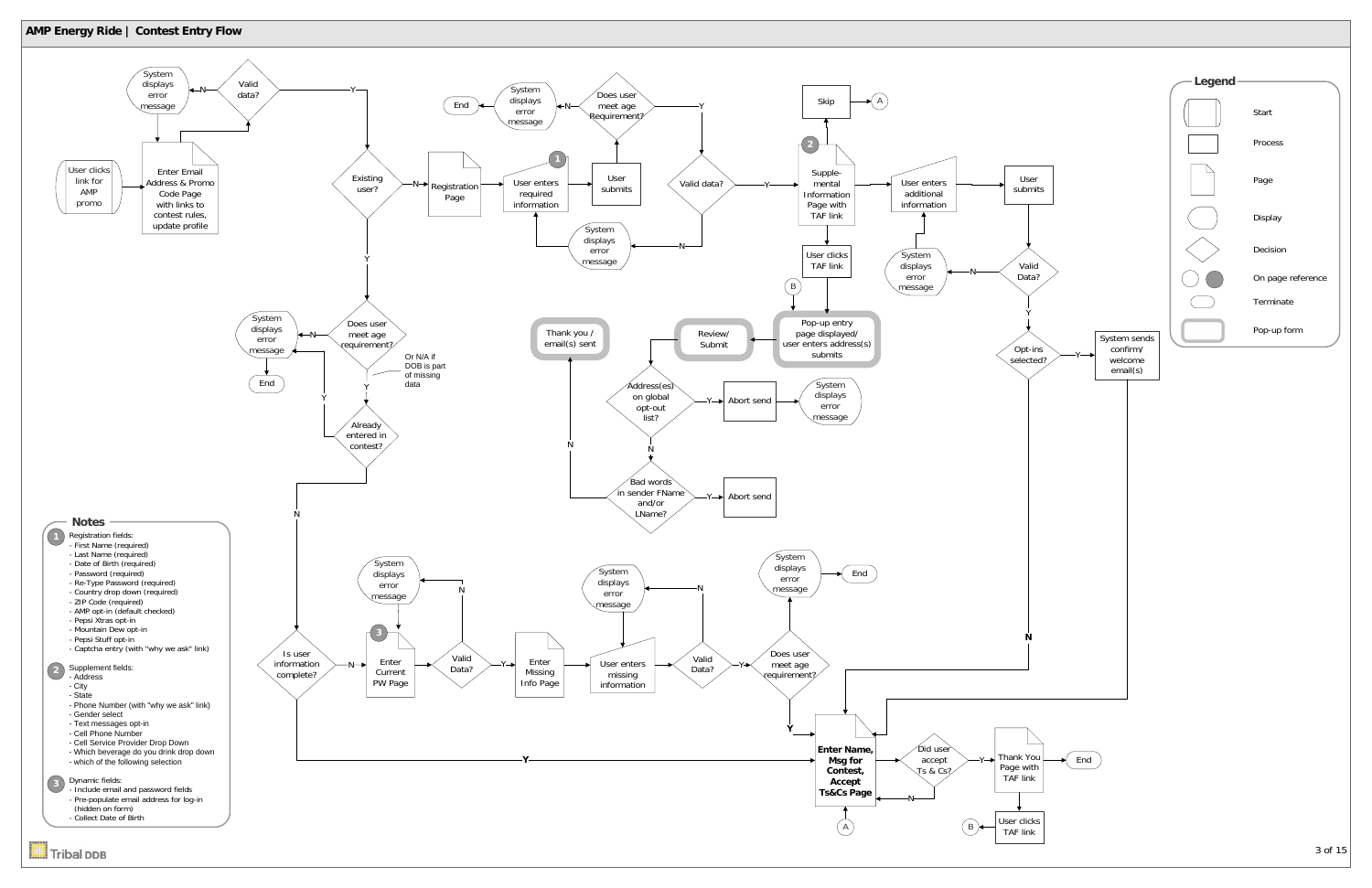

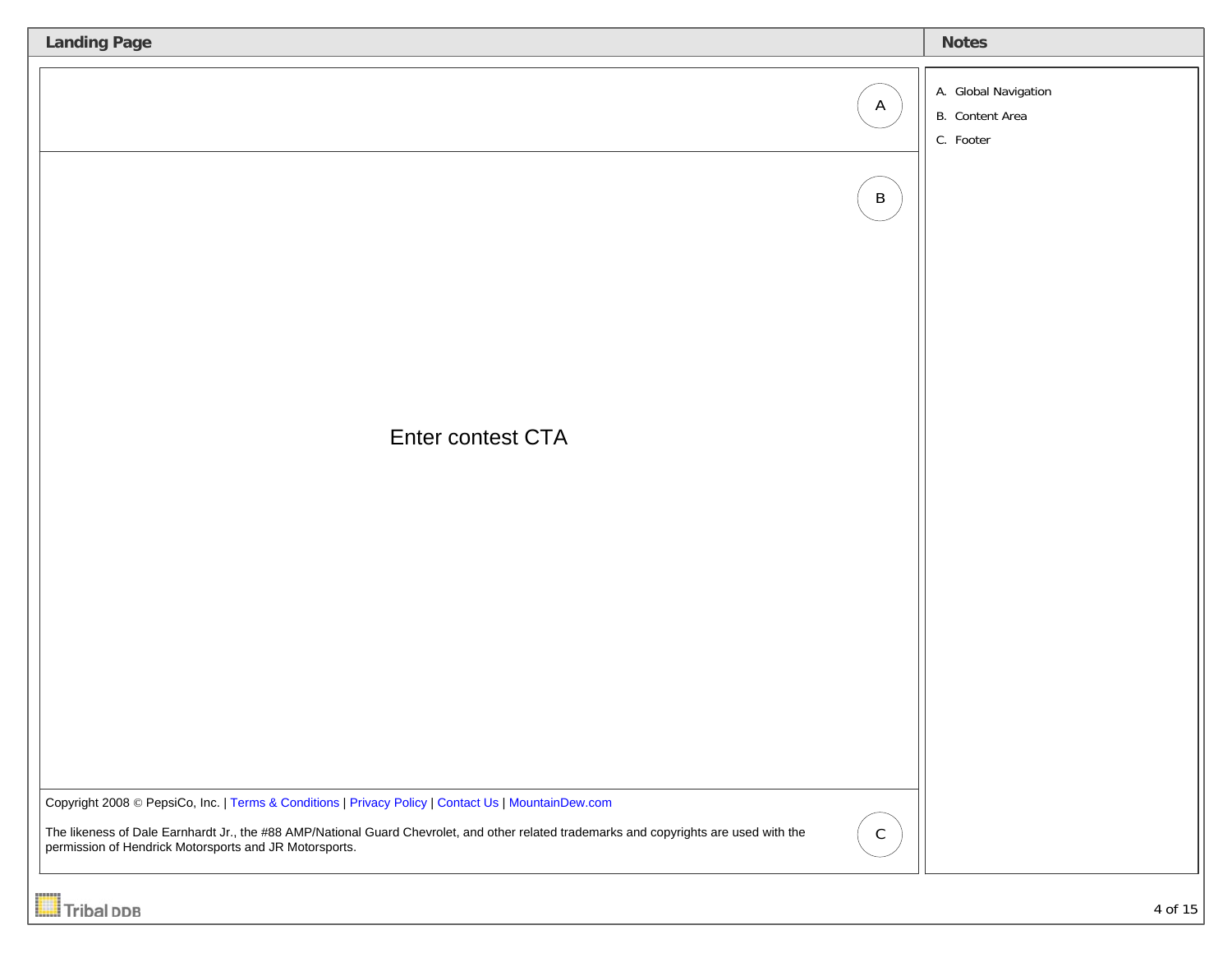| <b>Landing Page</b>                                                                                                                                                                               |              | <b>Notes</b>                                         |
|---------------------------------------------------------------------------------------------------------------------------------------------------------------------------------------------------|--------------|------------------------------------------------------|
|                                                                                                                                                                                                   | $\mathsf{A}$ | A. Global Navigation<br>B. Content Area<br>C. Footer |
|                                                                                                                                                                                                   | $\mathsf B$  |                                                      |
|                                                                                                                                                                                                   |              |                                                      |
| Enter contest CTA                                                                                                                                                                                 |              |                                                      |
|                                                                                                                                                                                                   |              |                                                      |
|                                                                                                                                                                                                   |              |                                                      |
|                                                                                                                                                                                                   |              |                                                      |
| Copyright 2008 © PepsiCo, Inc.   Terms & Conditions   Privacy Policy   Contact Us   MountainDew.com                                                                                               |              |                                                      |
| The likeness of Dale Earnhardt Jr., the #88 AMP/National Guard Chevrolet, and other related trademarks and copyrights are used with the<br>permission of Hendrick Motorsports and JR Motorsports. | $\mathsf C$  |                                                      |
| <b>Tribal DDB</b>                                                                                                                                                                                 |              | 4 of 15                                              |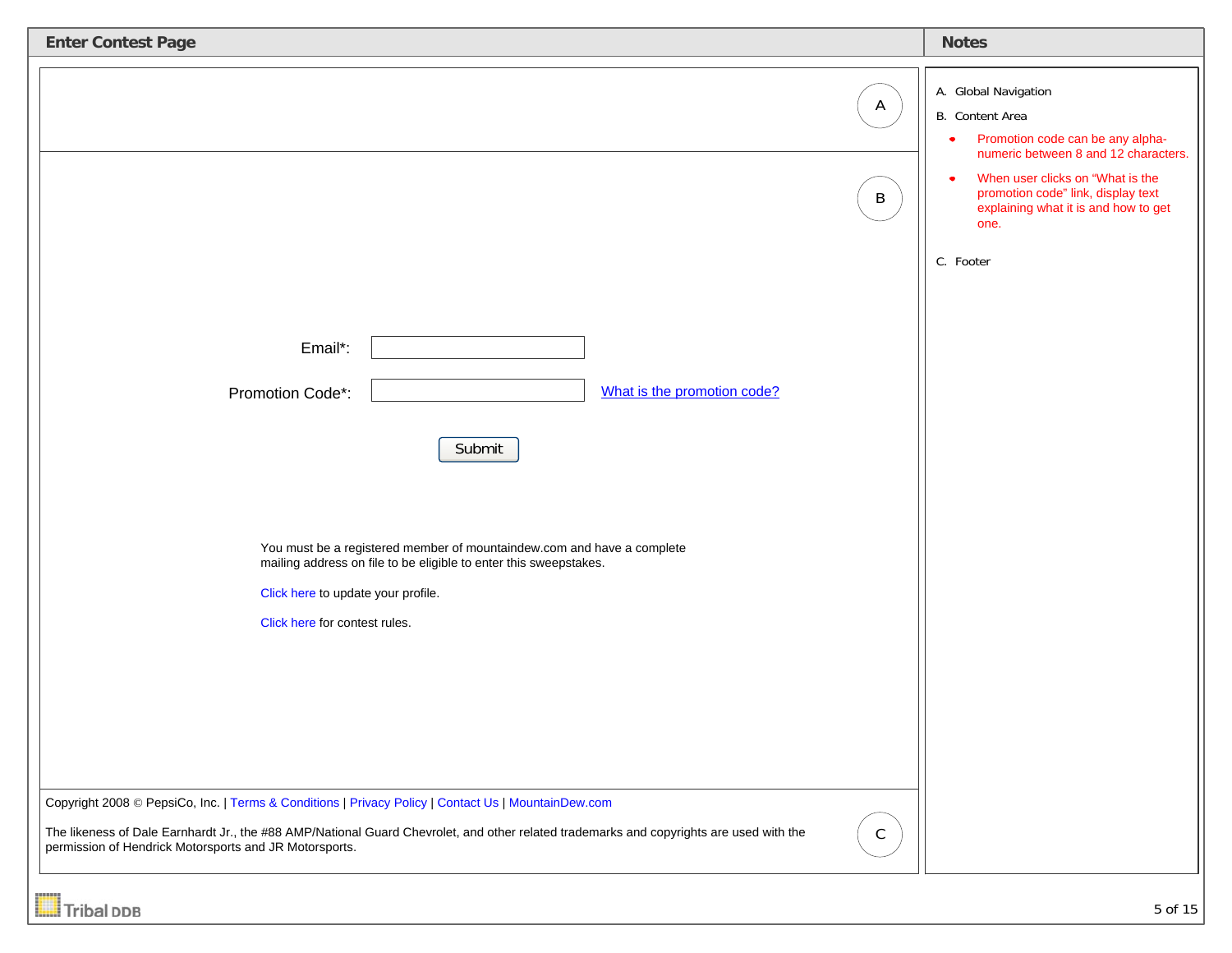| <b>Enter Contest Page</b>                                                                                                                                                                                                                                                                                                                    | <b>Notes</b>                                                                                                                                                                                                                                                    |
|----------------------------------------------------------------------------------------------------------------------------------------------------------------------------------------------------------------------------------------------------------------------------------------------------------------------------------------------|-----------------------------------------------------------------------------------------------------------------------------------------------------------------------------------------------------------------------------------------------------------------|
| A<br>$\mathsf B$                                                                                                                                                                                                                                                                                                                             | A. Global Navigation<br>B. Content Area<br>Promotion code can be any alpha-<br>$\bullet$<br>numeric between 8 and 12 characters.<br>When user clicks on "What is the<br>×<br>promotion code" link, display text<br>explaining what it is and how to get<br>one. |
| Email*:<br>What is the promotion code?<br>Promotion Code*:<br>Submit<br>You must be a registered member of mountaindew.com and have a complete<br>mailing address on file to be eligible to enter this sweepstakes.<br>Click here to update your profile.<br>Click here for contest rules.                                                   | C. Footer                                                                                                                                                                                                                                                       |
| Copyright 2008 © PepsiCo, Inc.   Terms & Conditions   Privacy Policy   Contact Us   MountainDew.com<br>The likeness of Dale Earnhardt Jr., the #88 AMP/National Guard Chevrolet, and other related trademarks and copyrights are used with the<br>$\mathsf C$<br>permission of Hendrick Motorsports and JR Motorsports.<br><b>Tribal DDB</b> | 5 of 15                                                                                                                                                                                                                                                         |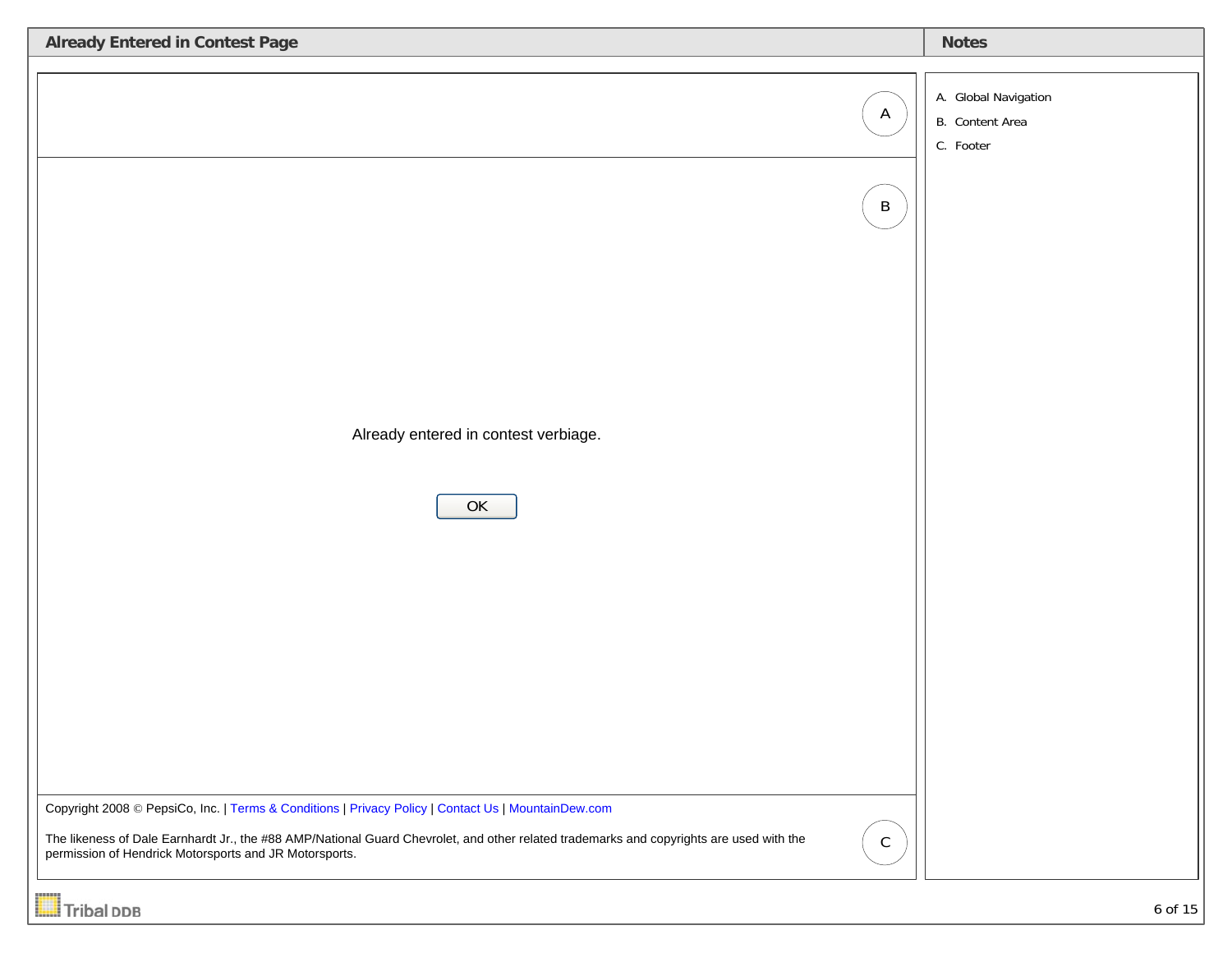| A. Global Navigation<br>$\mathsf{A}$<br>B. Content Area<br>C. Footer<br>$\, {\sf B}$<br>Already entered in contest verbiage.<br>OK<br>Copyright 2008 © PepsiCo, Inc.   Terms & Conditions   Privacy Policy   Contact Us   MountainDew.com<br>The likeness of Dale Earnhardt Jr., the #88 AMP/National Guard Chevrolet, and other related trademarks and copyrights are used with the<br>$\mathsf C$<br>permission of Hendrick Motorsports and JR Motorsports. | <b>Already Entered in Contest Page</b> | <b>Notes</b> |
|---------------------------------------------------------------------------------------------------------------------------------------------------------------------------------------------------------------------------------------------------------------------------------------------------------------------------------------------------------------------------------------------------------------------------------------------------------------|----------------------------------------|--------------|
|                                                                                                                                                                                                                                                                                                                                                                                                                                                               |                                        |              |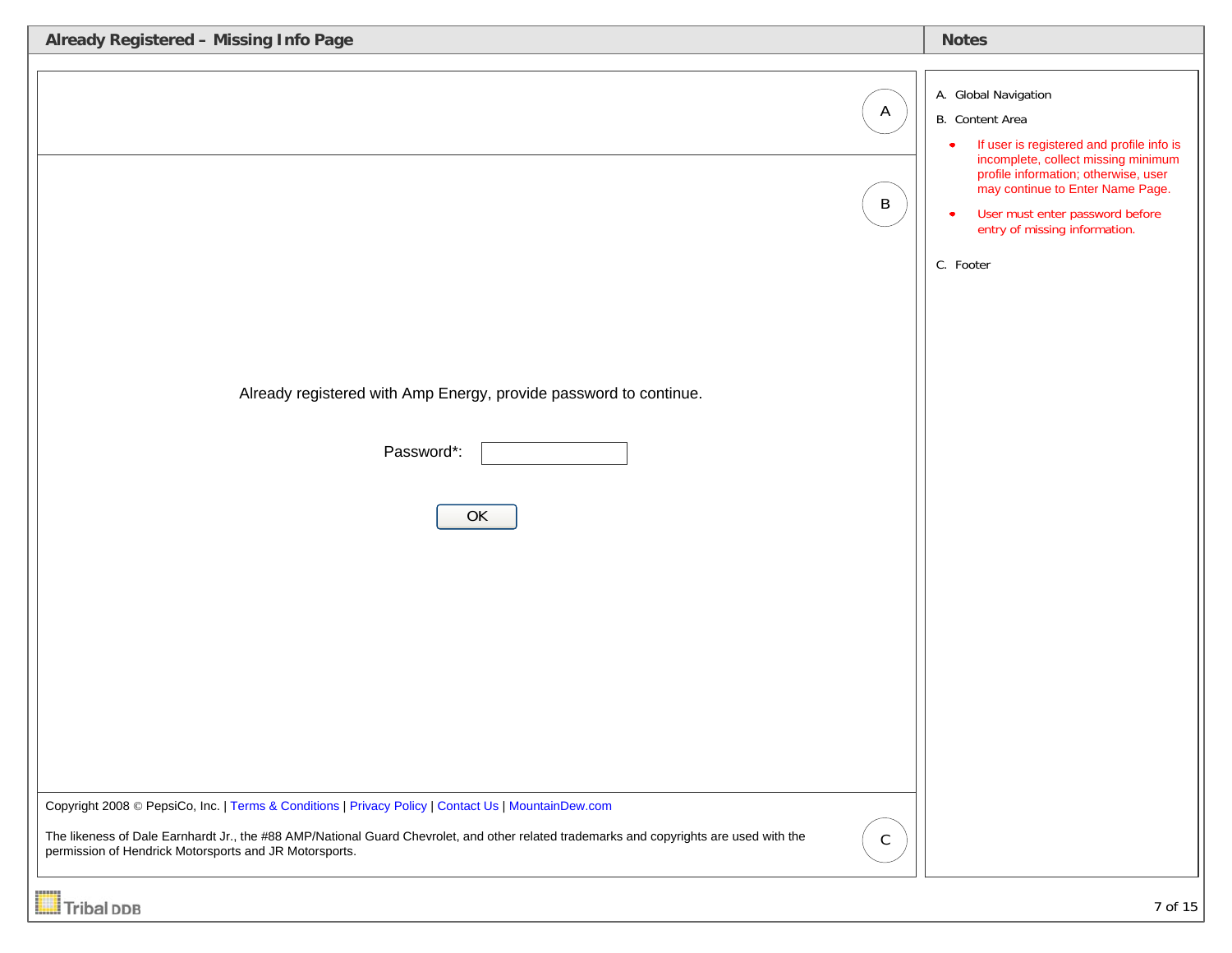| Already Registered - Missing Info Page                                                                                                                                                                                       | <b>Notes</b>                                                                                                                                                                                                                                                                             |
|------------------------------------------------------------------------------------------------------------------------------------------------------------------------------------------------------------------------------|------------------------------------------------------------------------------------------------------------------------------------------------------------------------------------------------------------------------------------------------------------------------------------------|
| $\mathsf{A}$<br>$\, {\sf B}$<br>Already registered with Amp Energy, provide password to continue.<br>Password*:<br>OK<br>Copyright 2008 © PepsiCo, Inc.   Terms & Conditions   Privacy Policy   Contact Us   MountainDew.com | A. Global Navigation<br>B. Content Area<br>If user is registered and profile info is<br>incomplete, collect missing minimum<br>profile information; otherwise, user<br>may continue to Enter Name Page.<br>User must enter password before<br>entry of missing information.<br>C. Footer |
| The likeness of Dale Earnhardt Jr., the #88 AMP/National Guard Chevrolet, and other related trademarks and copyrights are used with the<br>$\mathsf{C}$<br>permission of Hendrick Motorsports and JR Motorsports.            |                                                                                                                                                                                                                                                                                          |

**Tribal DDB**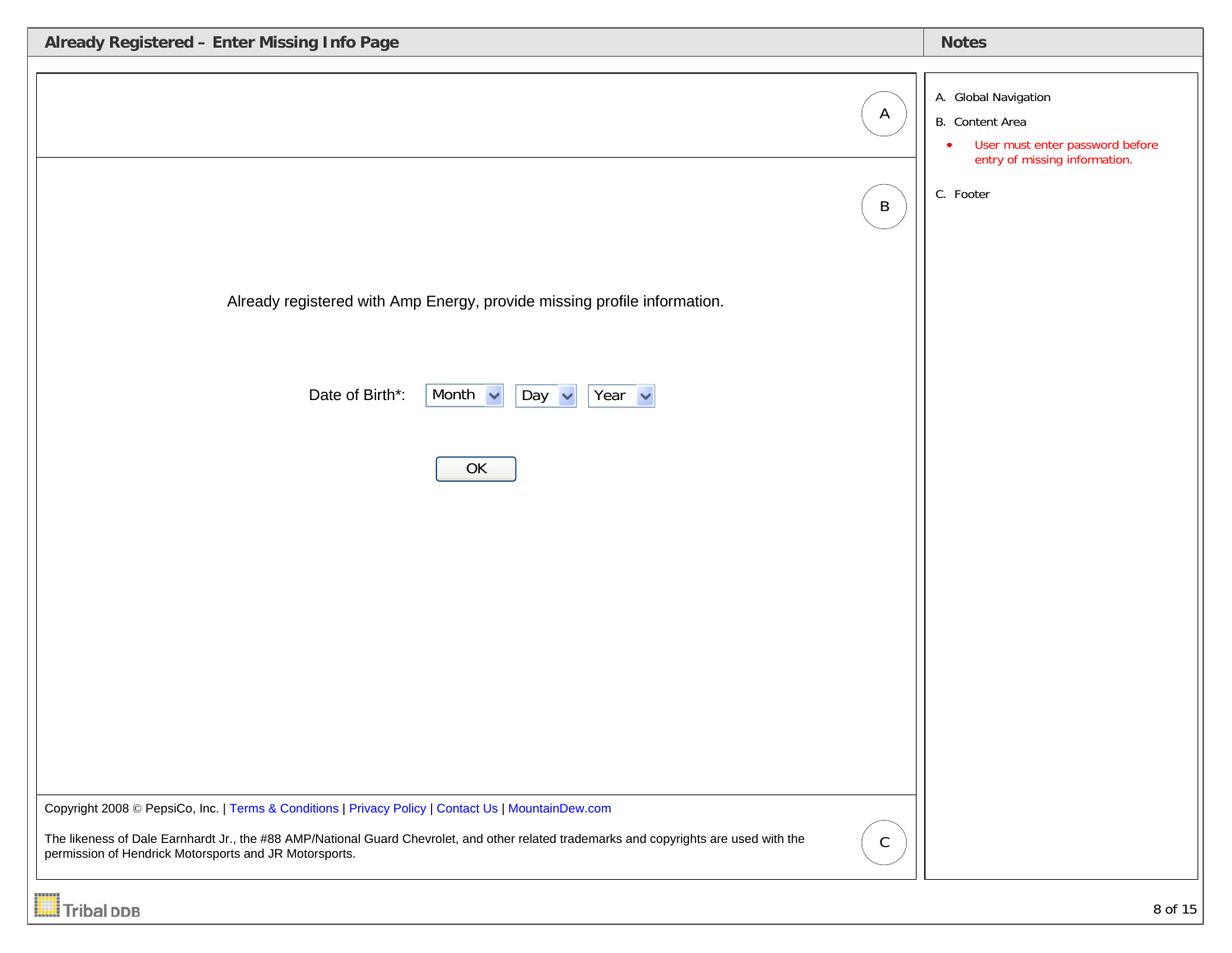| Already Registered - Enter Missing Info Page                                                                                                                                                                     | <b>Notes</b>                                                                                                                          |
|------------------------------------------------------------------------------------------------------------------------------------------------------------------------------------------------------------------|---------------------------------------------------------------------------------------------------------------------------------------|
| $\mathsf{A}$<br>$\mathsf B$                                                                                                                                                                                      | A. Global Navigation<br>B. Content Area<br>User must enter password before<br>$\bullet$<br>entry of missing information.<br>C. Footer |
| Already registered with Amp Energy, provide missing profile information.                                                                                                                                         |                                                                                                                                       |
| Date of Birth*:<br>Month $\sim$<br>Year $\sim$<br>Day $\vert \mathbf{v} \vert$<br>OK                                                                                                                             |                                                                                                                                       |
|                                                                                                                                                                                                                  |                                                                                                                                       |
|                                                                                                                                                                                                                  |                                                                                                                                       |
| Copyright 2008 © PepsiCo, Inc.   Terms & Conditions   Privacy Policy   Contact Us   MountainDew.com                                                                                                              |                                                                                                                                       |
| The likeness of Dale Earnhardt Jr., the #88 AMP/National Guard Chevrolet, and other related trademarks and copyrights are used with the<br>$\mathsf C$<br>permission of Hendrick Motorsports and JR Motorsports. |                                                                                                                                       |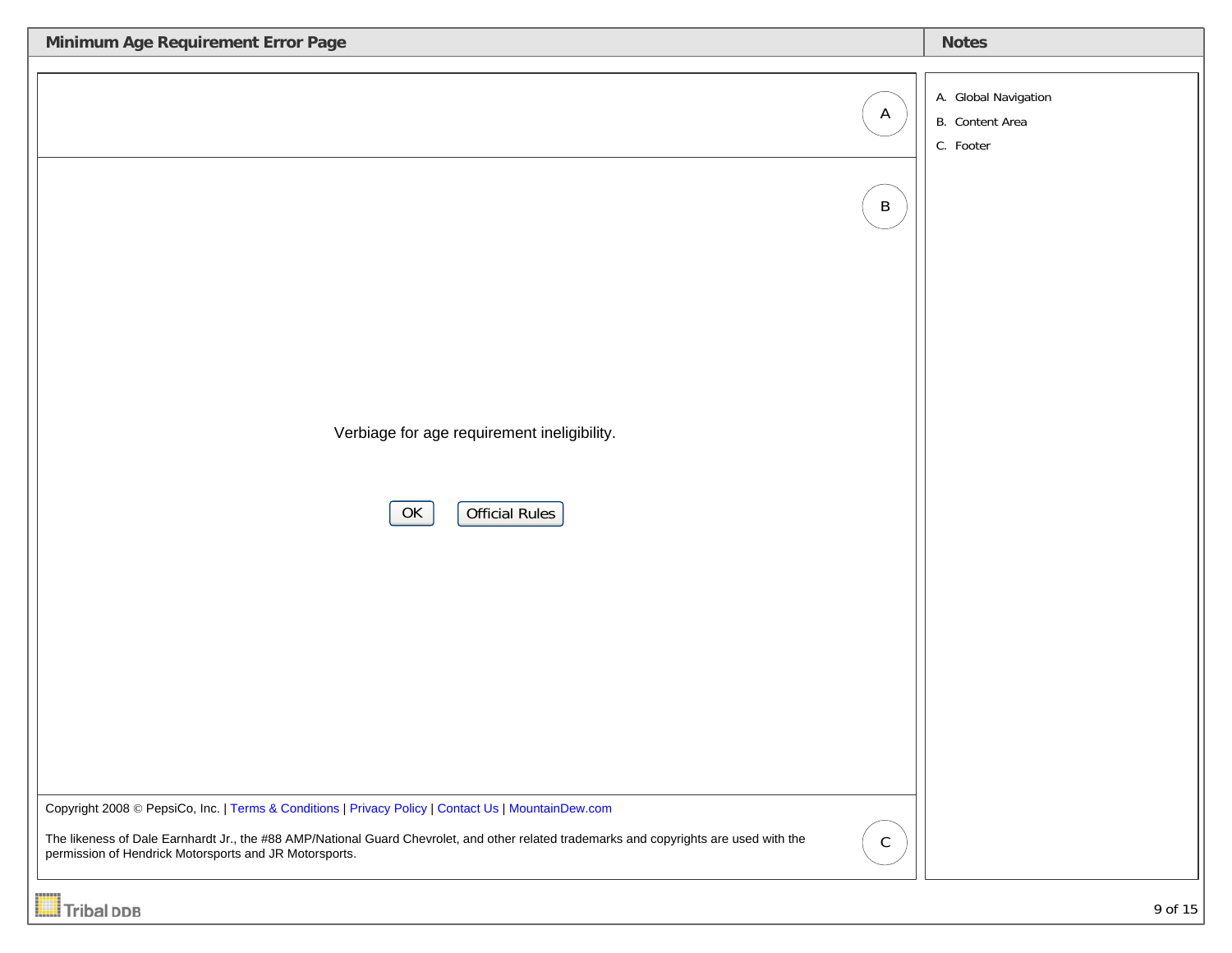| Minimum Age Requirement Error Page                                                                                                                                                                                                                                                                                        | <b>Notes</b>                                         |
|---------------------------------------------------------------------------------------------------------------------------------------------------------------------------------------------------------------------------------------------------------------------------------------------------------------------------|------------------------------------------------------|
| $\mathsf{A}$<br>$\, {\sf B}$<br>Verbiage for age requirement ineligibility.<br>Official Rules<br>OK                                                                                                                                                                                                                       | A. Global Navigation<br>B. Content Area<br>C. Footer |
| Copyright 2008 © PepsiCo, Inc.   Terms & Conditions   Privacy Policy   Contact Us   MountainDew.com<br>The likeness of Dale Earnhardt Jr., the #88 AMP/National Guard Chevrolet, and other related trademarks and copyrights are used with the<br>${\mathbb C}$<br>permission of Hendrick Motorsports and JR Motorsports. |                                                      |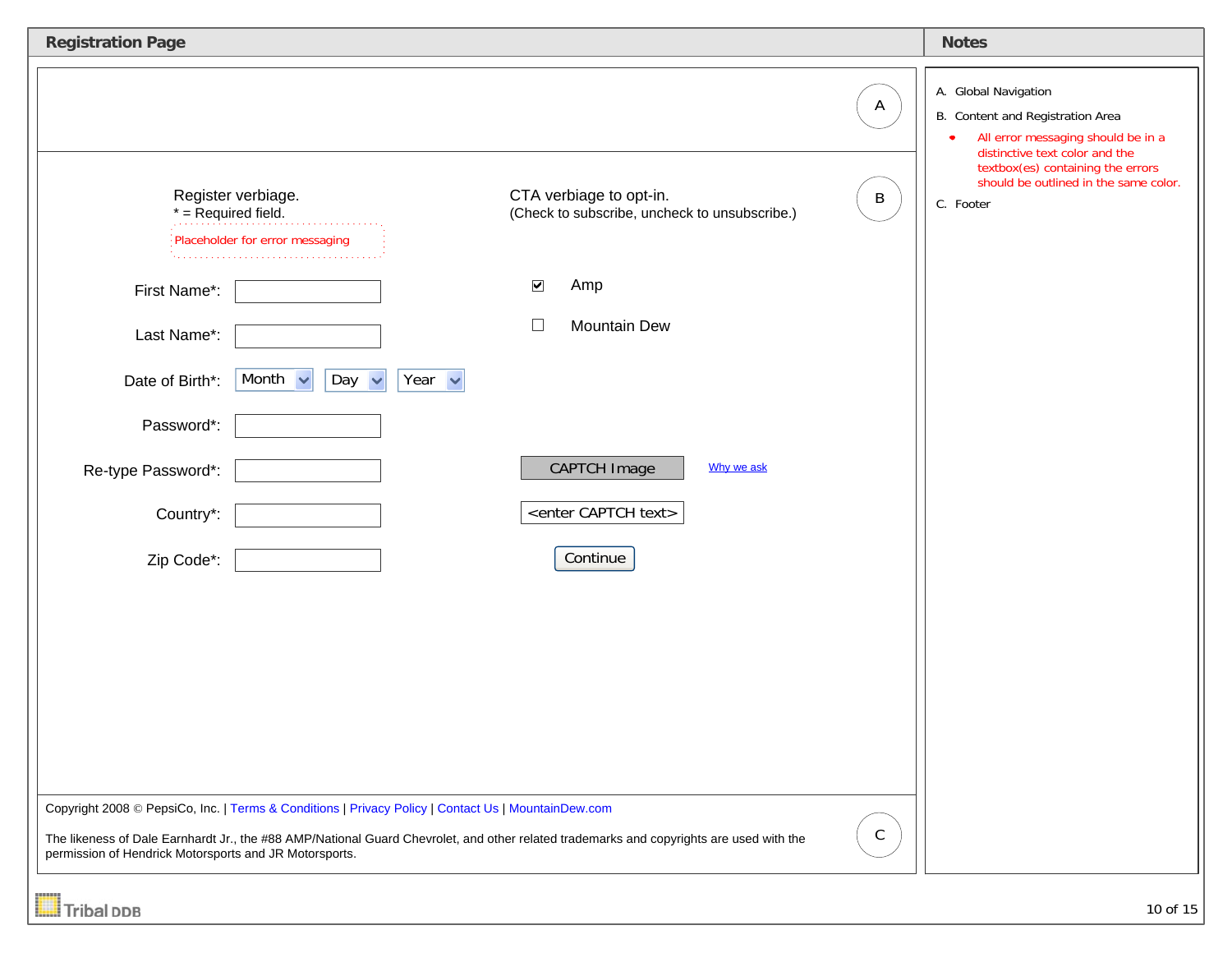| <b>Registration Page</b>                                                                                                 |                                                                                                                     |                                                                                                                                                                                                        |                             | <b>Notes</b>                                                                                                                                                                                                                |
|--------------------------------------------------------------------------------------------------------------------------|---------------------------------------------------------------------------------------------------------------------|--------------------------------------------------------------------------------------------------------------------------------------------------------------------------------------------------------|-----------------------------|-----------------------------------------------------------------------------------------------------------------------------------------------------------------------------------------------------------------------------|
| $*$ = Required field.<br>First Name*:<br>Last Name*:<br>Date of Birth*:<br>Password*:<br>Re-type Password*:<br>Country*: | Register verbiage.<br>Placeholder for error messaging<br>Month $\sim$<br>Year $\sim$<br>Day<br>$\ddot{\phantom{1}}$ | CTA verbiage to opt-in.<br>(Check to subscribe, uncheck to unsubscribe.)<br>$\blacktriangledown$<br>Amp<br>Mountain Dew<br>□<br><b>CAPTCH Image</b><br>Why we ask<br><enter captch="" text=""></enter> | $\mathsf{A}$<br>$\mathsf B$ | A. Global Navigation<br>B. Content and Registration Area<br>All error messaging should be in a<br>distinctive text color and the<br>textbox(es) containing the errors<br>should be outlined in the same color.<br>C. Footer |
| Zip Code*:<br>permission of Hendrick Motorsports and JR Motorsports.<br>Tribal DDB                                       | Copyright 2008 © PepsiCo, Inc.   Terms & Conditions   Privacy Policy   Contact Us   MountainDew.com                 | Continue<br>The likeness of Dale Earnhardt Jr., the #88 AMP/National Guard Chevrolet, and other related trademarks and copyrights are used with the                                                    | $\mathsf C$                 | 10 of 15                                                                                                                                                                                                                    |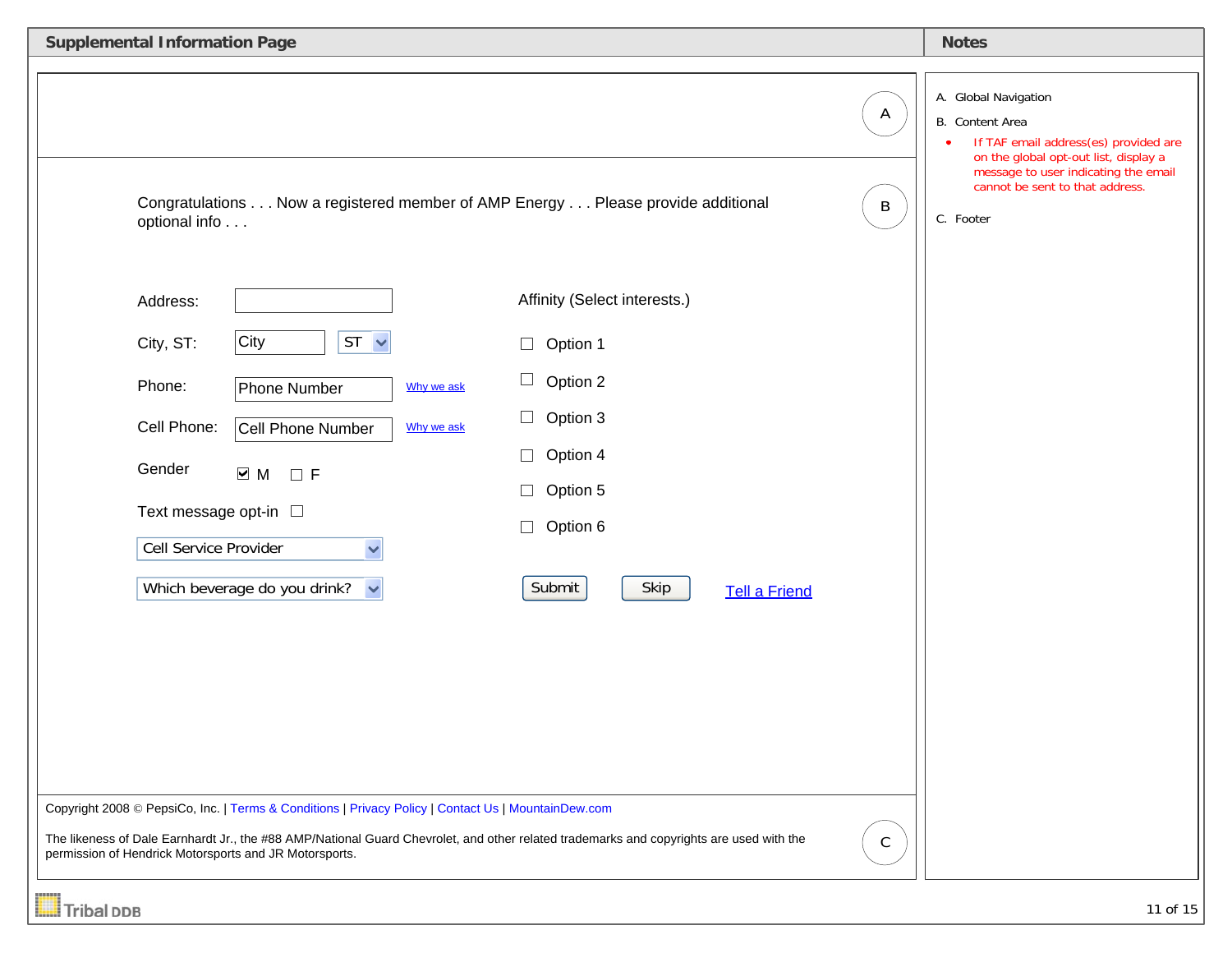| <b>Supplemental Information Page</b>                                                                                                                                                                                                                                                                                                                                                                                                     | <b>Notes</b>                                                                                                                                                                                                                   |
|------------------------------------------------------------------------------------------------------------------------------------------------------------------------------------------------------------------------------------------------------------------------------------------------------------------------------------------------------------------------------------------------------------------------------------------|--------------------------------------------------------------------------------------------------------------------------------------------------------------------------------------------------------------------------------|
| A<br>Congratulations Now a registered member of AMP Energy Please provide additional<br>$\mathsf B$<br>optional info<br>Affinity (Select interests.)<br>Address:                                                                                                                                                                                                                                                                         | A. Global Navigation<br>B. Content Area<br>If TAF email address(es) provided are<br>$\bullet$<br>on the global opt-out list, display a<br>message to user indicating the email<br>cannot be sent to that address.<br>C. Footer |
| City<br>$ST \sim$<br>City, ST:<br>Option 1<br>$\Box$<br>$\Box$<br>Option 2<br>Phone:<br>Phone Number<br>Why we ask<br>Option 3<br>$\Box$<br>Cell Phone:<br>Cell Phone Number<br>Why we ask<br>Option 4<br>Gender<br>$\overline{\phantom{0}}$ M<br>$\Box$ F<br>Option 5<br>Text message opt-in □<br>Option 6<br>$\Box$<br>Cell Service Provider<br>Skip<br>Which beverage do you drink?<br>Submit<br>$\checkmark$<br><b>Tell a Friend</b> |                                                                                                                                                                                                                                |
| Copyright 2008 © PepsiCo, Inc.   Terms & Conditions   Privacy Policy   Contact Us   MountainDew.com<br>The likeness of Dale Earnhardt Jr., the #88 AMP/National Guard Chevrolet, and other related trademarks and copyrights are used with the<br>$\mathsf{C}$<br>permission of Hendrick Motorsports and JR Motorsports.                                                                                                                 |                                                                                                                                                                                                                                |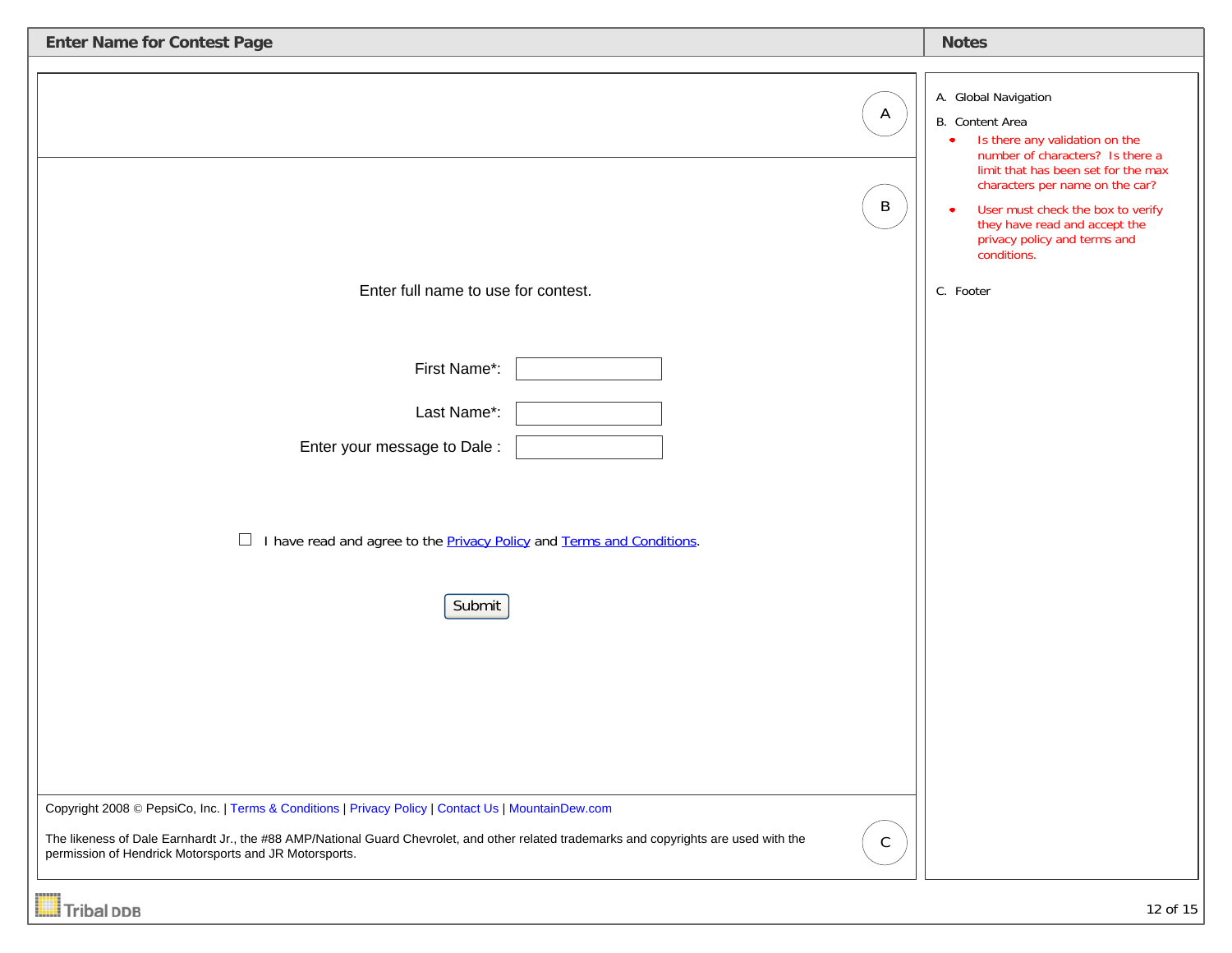| <b>Enter Name for Contest Page</b>                                                                                                                                                                                                                                                                                      | <b>Notes</b>                                                                                                                                                                                                                                                                                                 |
|-------------------------------------------------------------------------------------------------------------------------------------------------------------------------------------------------------------------------------------------------------------------------------------------------------------------------|--------------------------------------------------------------------------------------------------------------------------------------------------------------------------------------------------------------------------------------------------------------------------------------------------------------|
| $\mathsf{A}$<br>$\mathsf B$                                                                                                                                                                                                                                                                                             | A. Global Navigation<br>B. Content Area<br>Is there any validation on the<br>number of characters? Is there a<br>limit that has been set for the max<br>characters per name on the car?<br>User must check the box to verify<br>they have read and accept the<br>privacy policy and terms and<br>conditions. |
| Enter full name to use for contest.                                                                                                                                                                                                                                                                                     | C. Footer                                                                                                                                                                                                                                                                                                    |
| First Name*:<br>Last Name*:<br>Enter your message to Dale:<br>$\Box$<br>I have read and agree to the <b>Privacy Policy and Terms and Conditions</b> .<br>Submit                                                                                                                                                         |                                                                                                                                                                                                                                                                                                              |
| Copyright 2008 © PepsiCo, Inc.   Terms & Conditions   Privacy Policy   Contact Us   MountainDew.com<br>The likeness of Dale Earnhardt Jr., the #88 AMP/National Guard Chevrolet, and other related trademarks and copyrights are used with the<br>$\mathsf C$<br>permission of Hendrick Motorsports and JR Motorsports. |                                                                                                                                                                                                                                                                                                              |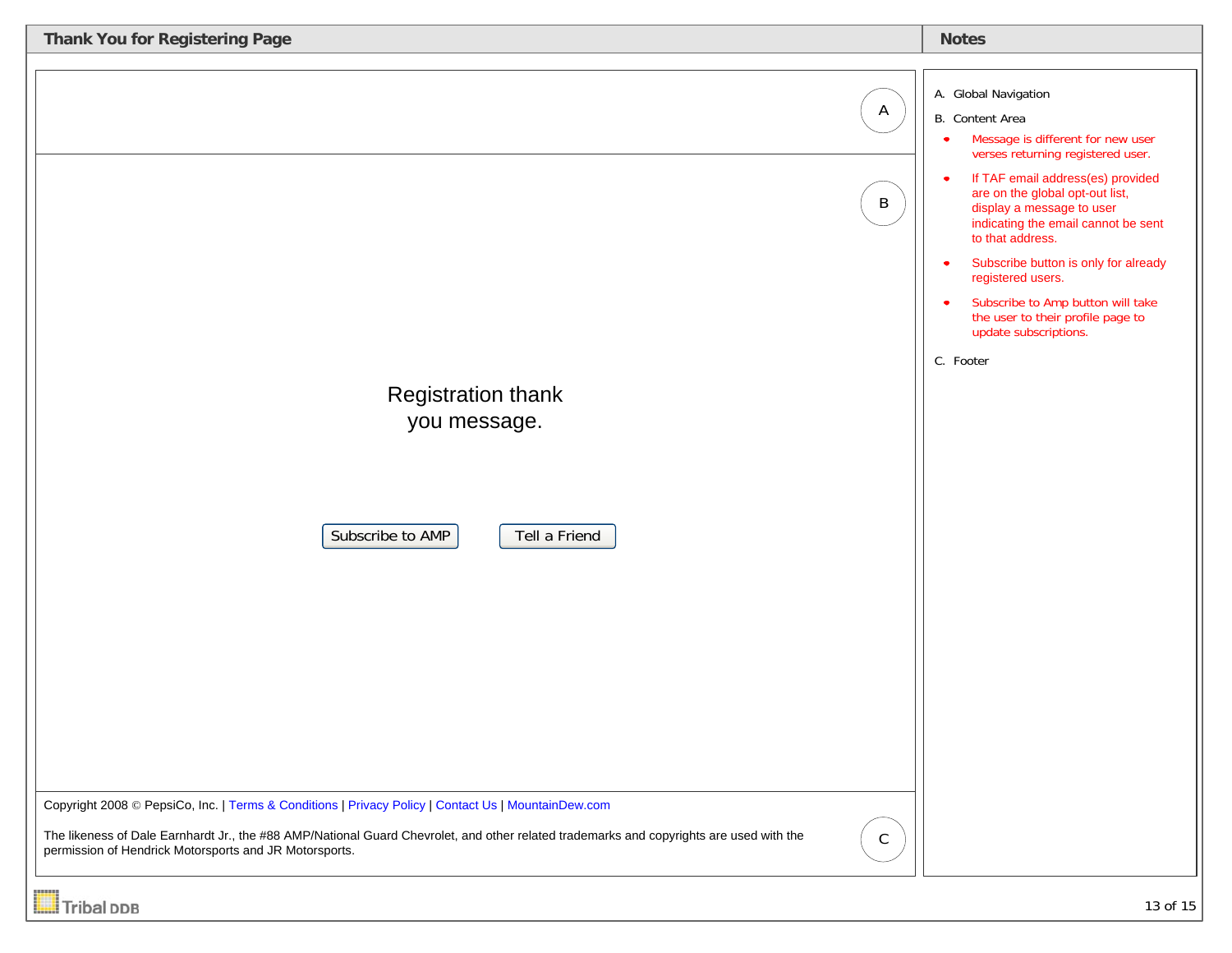| Thank You for Registering Page                                                                                                                                                                                                                                                                                                                                                             |                                            | <b>Notes</b>                                                                                                                                                                                                                                                                                                                                                                                                                                                                                                       |
|--------------------------------------------------------------------------------------------------------------------------------------------------------------------------------------------------------------------------------------------------------------------------------------------------------------------------------------------------------------------------------------------|--------------------------------------------|--------------------------------------------------------------------------------------------------------------------------------------------------------------------------------------------------------------------------------------------------------------------------------------------------------------------------------------------------------------------------------------------------------------------------------------------------------------------------------------------------------------------|
| <b>Registration thank</b><br>you message.<br>Subscribe to AMP<br>Tell a Friend<br>Copyright 2008 © PepsiCo, Inc.   Terms & Conditions   Privacy Policy   Contact Us   MountainDew.com<br>The likeness of Dale Earnhardt Jr., the #88 AMP/National Guard Chevrolet, and other related trademarks and copyrights are used with the<br>permission of Hendrick Motorsports and JR Motorsports. | $\mathsf{A}$<br>$\mathsf B$<br>$\mathsf C$ | A. Global Navigation<br>B. Content Area<br>Message is different for new user<br>$\bullet$<br>verses returning registered user.<br>If TAF email address(es) provided<br>$\bullet$<br>are on the global opt-out list,<br>display a message to user<br>indicating the email cannot be sent<br>to that address.<br>Subscribe button is only for already<br>$\bullet$<br>registered users.<br>Subscribe to Amp button will take<br>$\bullet$<br>the user to their profile page to<br>update subscriptions.<br>C. Footer |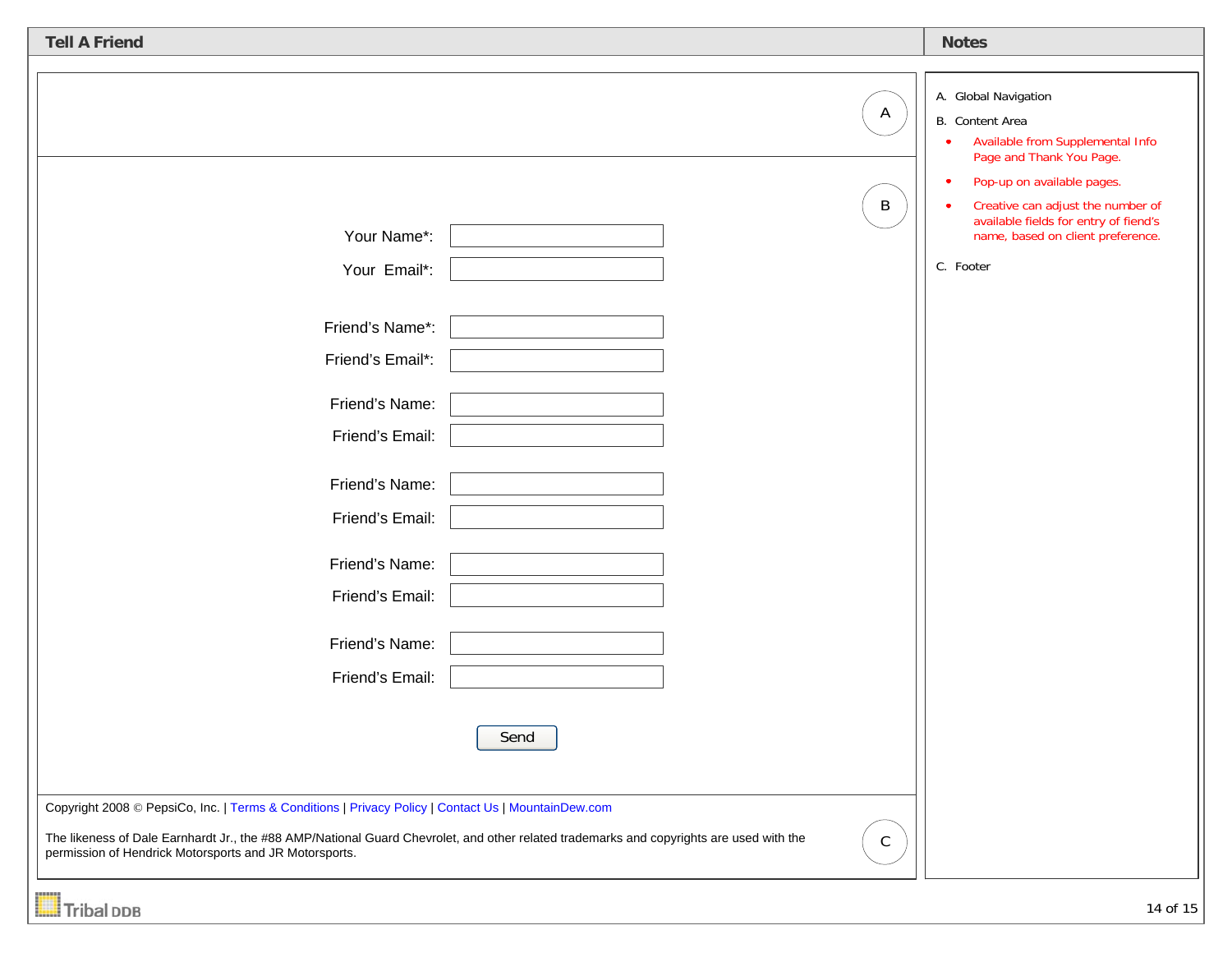| <b>Tell A Friend</b>                                                                                                                                                                                                                                                                                     |      |                              | <b>Notes</b>                                                                                                                                                                                                                                                                                    |
|----------------------------------------------------------------------------------------------------------------------------------------------------------------------------------------------------------------------------------------------------------------------------------------------------------|------|------------------------------|-------------------------------------------------------------------------------------------------------------------------------------------------------------------------------------------------------------------------------------------------------------------------------------------------|
| Your Name*:                                                                                                                                                                                                                                                                                              |      | $\mathsf{A}$<br>$\, {\sf B}$ | A. Global Navigation<br>B. Content Area<br>Available from Supplemental Info<br>$\bullet$<br>Page and Thank You Page.<br>Pop-up on available pages.<br>$\bullet$<br>Creative can adjust the number of<br>available fields for entry of fiend's<br>name, based on client preference.<br>C. Footer |
| Your Email*:<br>Friend's Name*:<br>Friend's Email*:                                                                                                                                                                                                                                                      |      |                              |                                                                                                                                                                                                                                                                                                 |
| Friend's Name:<br>Friend's Email:                                                                                                                                                                                                                                                                        |      |                              |                                                                                                                                                                                                                                                                                                 |
| Friend's Name:<br>Friend's Email:<br>Friend's Name:                                                                                                                                                                                                                                                      |      |                              |                                                                                                                                                                                                                                                                                                 |
| Friend's Email:<br>Friend's Name:                                                                                                                                                                                                                                                                        |      |                              |                                                                                                                                                                                                                                                                                                 |
| Friend's Email:                                                                                                                                                                                                                                                                                          | Send |                              |                                                                                                                                                                                                                                                                                                 |
| Copyright 2008 © PepsiCo, Inc.   Terms & Conditions   Privacy Policy   Contact Us   MountainDew.com<br>The likeness of Dale Earnhardt Jr., the #88 AMP/National Guard Chevrolet, and other related trademarks and copyrights are used with the<br>permission of Hendrick Motorsports and JR Motorsports. |      | $\mathsf C$                  |                                                                                                                                                                                                                                                                                                 |
| <b>Tribal DDB</b>                                                                                                                                                                                                                                                                                        |      |                              | 14 of 15                                                                                                                                                                                                                                                                                        |